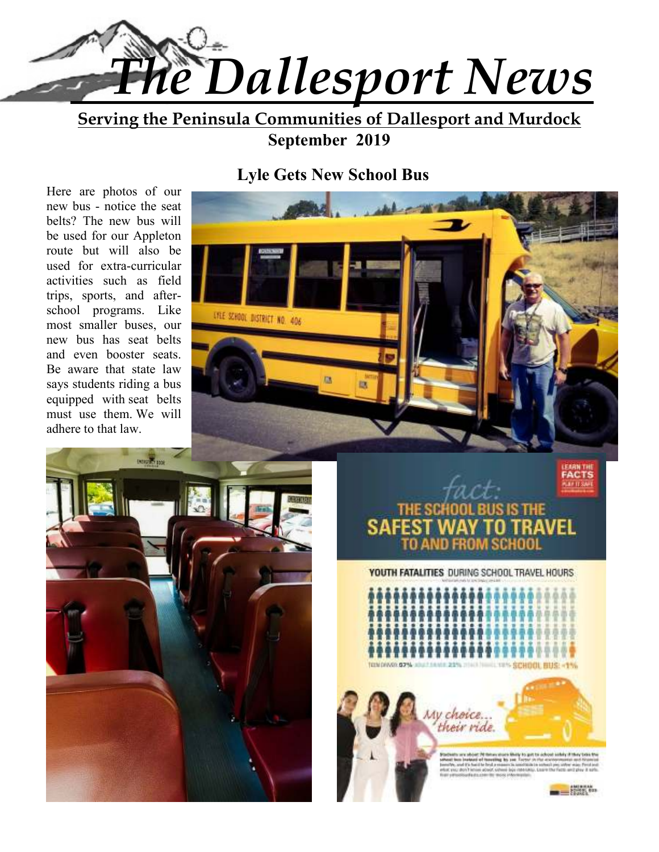

**Serving the Peninsula Communities of Dallesport and Murdock September 2019** 

# **Lyle Gets New School Bus**

Here are photos of our new bus - notice the seat belts? The new bus will be used for our Appleton route but will also be used for extra-curricular activities such as field trips, sports, and afterschool programs. Like most smaller buses, our new bus has seat belts and even booster seats. Be aware that state law says students riding a bus equipped with seat belts must use them. We will adhere to that law.







**YOUTH FATALITIES DURING SCHOOL TRAVEL HOURS** 

TON DIAXO G2%L abattants 22% mail had yets Grandt sitte



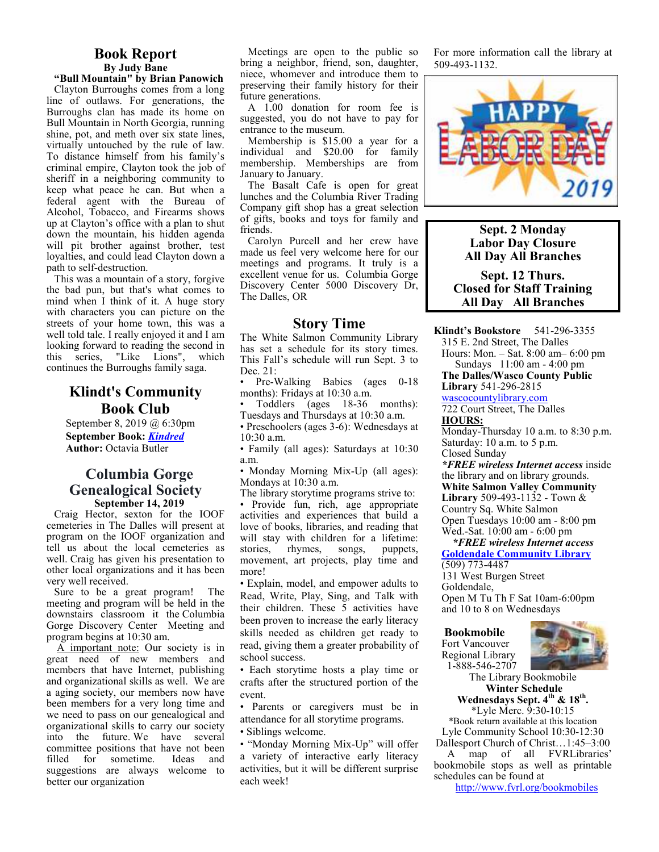#### **Book Report By Judy Bane**

**"Bull Mountain" by Brian Panowich**  Clayton Burroughs comes from a long line of outlaws. For generations, the Burroughs clan has made its home on Bull Mountain in North Georgia, running shine, pot, and meth over six state lines, virtually untouched by the rule of law. To distance himself from his family's criminal empire, Clayton took the job of sheriff in a neighboring community to keep what peace he can. But when a federal agent with the Bureau of Alcohol, Tobacco, and Firearms shows up at Clayton's office with a plan to shut down the mountain, his hidden agenda will pit brother against brother, test loyalties, and could lead Clayton down a path to self-destruction.

This was a mountain of a story, forgive the bad pun, but that's what comes to mind when I think of it. A huge story with characters you can picture on the streets of your home town, this was a well told tale. I really enjoyed it and I am looking forward to reading the second in this series, "Like Lions", which continues the Burroughs family saga.

## **Klindt's Community Book Club**

September 8, 2019 @ 6:30pm **September Book:** *Kindred* **Author:** Octavia Butler

#### **Columbia Gorge Genealogical Society September 14, 2019**

Craig Hector, sexton for the IOOF cemeteries in The Dalles will present at program on the IOOF organization and tell us about the local cemeteries as well. Craig has given his presentation to other local organizations and it has been very well received.

Sure to be a great program! The meeting and program will be held in the downstairs classroom it the Columbia Gorge Discovery Center Meeting and program begins at 10:30 am.

 A important note: Our society is in great need of new members and members that have Internet, publishing and organizational skills as well. We are a aging society, our members now have been members for a very long time and we need to pass on our genealogical and organizational skills to carry our society into the future. We have several committee positions that have not been<br>filled for sometime. Ideas and filled for sometime. suggestions are always welcome to better our organization

Meetings are open to the public so bring a neighbor, friend, son, daughter, niece, whomever and introduce them to preserving their family history for their future generations.

A 1.00 donation for room fee is suggested, you do not have to pay for entrance to the museum.

Membership is \$15.00 a year for a individual and \$20.00 for family membership. Memberships are from January to January.

The Basalt Cafe is open for great lunches and the Columbia River Trading Company gift shop has a great selection of gifts, books and toys for family and friends.

Carolyn Purcell and her crew have made us feel very welcome here for our meetings and programs. It truly is a excellent venue for us. Columbia Gorge Discovery Center 5000 Discovery Dr, The Dalles, OR

#### **Story Time**

The White Salmon Community Library has set a schedule for its story times. This Fall's schedule will run Sept. 3 to Dec. 21:

• Pre-Walking Babies (ages 0-18) months): Fridays at 10:30 a.m.

• Toddlers (ages 18-36 months): Tuesdays and Thursdays at 10:30 a.m.

• Preschoolers (ages 3-6): Wednesdays at 10:30 a.m.

• Family (all ages): Saturdays at 10:30 a.m.

• Monday Morning Mix-Up (all ages): Mondays at 10:30 a.m.

The library storytime programs strive to: • Provide fun, rich, age appropriate activities and experiences that build a love of books, libraries, and reading that will stay with children for a lifetime:<br>stories, rhymes, songs, puppets, puppets, movement, art projects, play time and more!

• Explain, model, and empower adults to Read, Write, Play, Sing, and Talk with their children. These 5 activities have been proven to increase the early literacy skills needed as children get ready to read, giving them a greater probability of school success.

• Each storytime hosts a play time or crafts after the structured portion of the event.

• Parents or caregivers must be in attendance for all storytime programs. • Siblings welcome.

• "Monday Morning Mix-Up" will offer a variety of interactive early literacy activities, but it will be different surprise each week!

For more information call the library at 509-493-1132.



**Sept. 2 Monday Labor Day Closure All Day All Branches** 

**Sept. 12 Thurs. Closed for Staff Training All Day All Branches** 

**Klindt's Bookstore** 541-296-3355

315 E. 2nd Street, The Dalles

Hours: Mon. – Sat. 8:00 am– 6:00 pm Sundays 11:00 am - 4:00 pm

**The Dalles/Wasco County Public Library** 541-296-2815

wascocountylibrary.com

722 Court Street, The Dalles **HOURS:** 

Monday-Thursday 10 a.m. to 8:30 p.m. Saturday: 10 a.m. to 5 p.m. Closed Sunday

*\*FREE wireless Internet access* inside the library and on library grounds. **White Salmon Valley Community Library** 509-493-1132 - Town & Country Sq. White Salmon Open Tuesdays 10:00 am - 8:00 pm Wed.-Sat. 10:00 am - 6:00 pm

 *\*FREE wireless Internet access*  **Goldendale Community Library**  (509) 773-4487

131 West Burgen Street

Goldendale,

Open M Tu Th F Sat 10am-6:00pm and 10 to 8 on Wednesdays

#### **Bookmobile**

Fort Vancouver Regional Library 1-888-546-2707



The Library Bookmobile  **Winter Schedule Wednesdays Sept. 4th & 18th .** 

\*Lyle Merc. 9:30-10:15

\*Book return available at this location Lyle Community School 10:30-12:30

Dallesport Church of Christ…1:45–3:00 A map of all FVRLibraries' bookmobile stops as well as printable schedules can be found at

http://www.fvrl.org/bookmobiles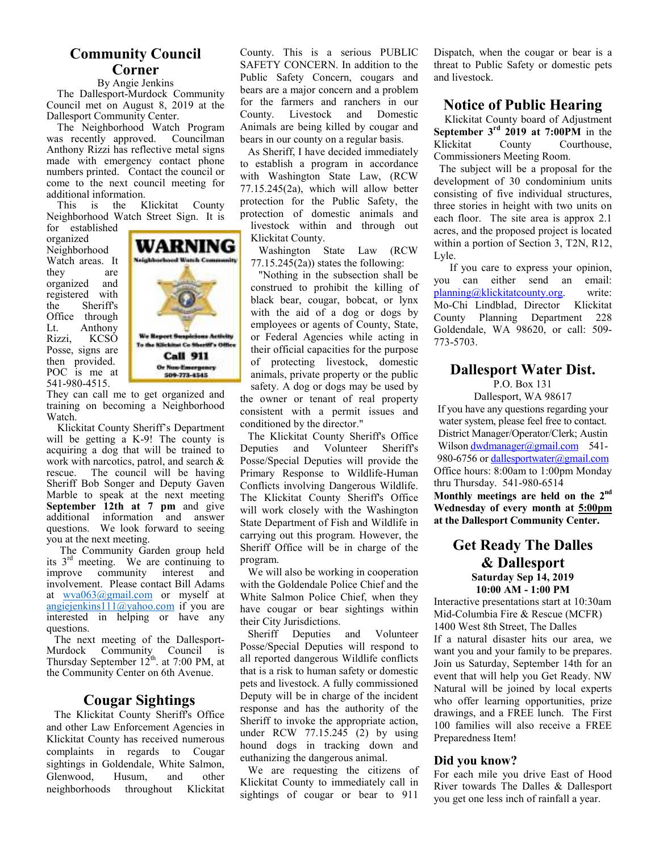#### **Community Council Corner**

#### By Angie Jenkins

 The Dallesport-Murdock Community Council met on August 8, 2019 at the Dallesport Community Center.

 The Neighborhood Watch Program was recently approved. Councilman Anthony Rizzi has reflective metal signs made with emergency contact phone numbers printed. Contact the council or come to the next council meeting for additional information.<br>This is the K

Klickitat County Neighborhood Watch Street Sign. It is

for established organized Neighborhood Watch areas. It they are organized and registered with the Sheriff's Office through Lt. Anthony Rizzi, KCSO Posse, signs are then provided. POC is me at 541-980-4515.



They can call me to get organized and training on becoming a Neighborhood Watch.

 Klickitat County Sheriff's Department will be getting a K-9! The county is acquiring a dog that will be trained to work with narcotics, patrol, and search  $&$  rescue. The council will be having The council will be having Sheriff Bob Songer and Deputy Gaven Marble to speak at the next meeting **September 12th at 7 pm** and give additional information and answer questions. We look forward to seeing you at the next meeting.

 The Community Garden group held its  $3<sup>rd</sup>$  meeting. We are continuing to improve community interest and involvement. Please contact Bill Adams at wva063@gmail.com or myself at angiejenkins $111@$ yahoo.com if you are interested in helping or have any questions.

The next meeting of the Dallesport-<br>Murdock Community Council is Community Council is Thursday September  $12^{th}$ . at 7:00 PM, at the Community Center on 6th Avenue.

## **Cougar Sightings**

The Klickitat County Sheriff's Office and other Law Enforcement Agencies in Klickitat County has received numerous complaints in regards to Cougar sightings in Goldendale, White Salmon, Glenwood, Husum, and other neighborhoods throughout Klickitat County. This is a serious PUBLIC SAFETY CONCERN. In addition to the Public Safety Concern, cougars and bears are a major concern and a problem for the farmers and ranchers in our County. Livestock and Domestic Animals are being killed by cougar and bears in our county on a regular basis.

As Sheriff, I have decided immediately to establish a program in accordance with Washington State Law, (RCW 77.15.245(2a), which will allow better protection for the Public Safety, the protection of domestic animals and livestock within and through out Klickitat County.

Washington State Law (RCW  $77.15.245(2a)$ ) states the following:

"Nothing in the subsection shall be construed to prohibit the killing of black bear, cougar, bobcat, or lynx with the aid of a dog or dogs by employees or agents of County, State, or Federal Agencies while acting in their official capacities for the purpose of protecting livestock, domestic animals, private property or the public safety. A dog or dogs may be used by the owner or tenant of real property consistent with a permit issues and conditioned by the director."

The Klickitat County Sheriff's Office Deputies and Volunteer Sheriff's Posse/Special Deputies will provide the Primary Response to Wildlife-Human Conflicts involving Dangerous Wildlife. The Klickitat County Sheriff's Office will work closely with the Washington State Department of Fish and Wildlife in carrying out this program. However, the Sheriff Office will be in charge of the program.

We will also be working in cooperation with the Goldendale Police Chief and the White Salmon Police Chief, when they have cougar or bear sightings within their City Jurisdictions.

Sheriff Deputies and Volunteer Posse/Special Deputies will respond to all reported dangerous Wildlife conflicts that is a risk to human safety or domestic pets and livestock. A fully commissioned Deputy will be in charge of the incident response and has the authority of the Sheriff to invoke the appropriate action, under RCW 77.15.245 (2) by using hound dogs in tracking down and euthanizing the dangerous animal.

We are requesting the citizens of Klickitat County to immediately call in sightings of cougar or bear to 911

Dispatch, when the cougar or bear is a threat to Public Safety or domestic pets and livestock.

## **Notice of Public Hearing**

 Klickitat County board of Adjustment **September 3rd 2019 at 7:00PM** in the Klickitat County Courthouse, Commissioners Meeting Room.

 The subject will be a proposal for the development of 30 condominium units consisting of five individual structures, three stories in height with two units on each floor. The site area is approx 2.1 acres, and the proposed project is located within a portion of Section 3, T2N, R12, Lyle.

 If you care to express your opinion, you can either send an email: planning@klickitatcounty.org. write: Mo-Chi Lindblad, Director Klickitat County Planning Department 228 Goldendale, WA 98620, or call: 509- 773-5703.

## **Dallesport Water Dist.**

P.O. Box 131 Dallesport, WA 98617 If you have any questions regarding your water system, please feel free to contact. District Manager/Operator/Clerk; Austin Wilson dwdmanager@gmail.com 541-980-6756 or dallesportwater@gmail.com Office hours: 8:00am to 1:00pm Monday

thru Thursday. 541-980-6514 **Monthly meetings are held on the 2nd Wednesday of every month at 5:00pm at the Dallesport Community Center.** 

#### **Get Ready The Dalles & Dallesport Saturday Sep 14, 2019 10:00 AM - 1:00 PM**

Interactive presentations start at 10:30am Mid-Columbia Fire & Rescue (MCFR) 1400 West 8th Street, The Dalles If a natural disaster hits our area, we want you and your family to be prepares. Join us Saturday, September 14th for an event that will help you Get Ready. NW Natural will be joined by local experts who offer learning opportunities, prize drawings, and a FREE lunch. The First 100 families will also receive a FREE Preparedness Item!

#### **Did you know?**

For each mile you drive East of Hood River towards The Dalles & Dallesport you get one less inch of rainfall a year.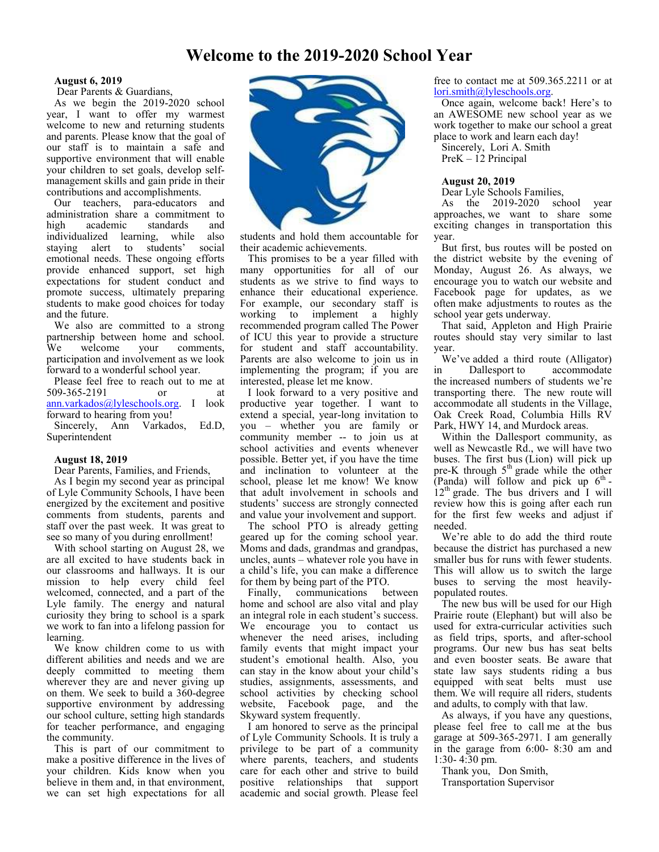## **Welcome to the 2019-2020 School Year**

#### **August 6, 2019**

Dear Parents & Guardians,

As we begin the 2019-2020 school year, I want to offer my warmest welcome to new and returning students and parents. Please know that the goal of our staff is to maintain a safe and supportive environment that will enable your children to set goals, develop selfmanagement skills and gain pride in their contributions and accomplishments.

Our teachers, para-educators and administration share a commitment to high academic standards and individualized learning, while also<br>staving alert to students' social staying alert to students' emotional needs. These ongoing efforts provide enhanced support, set high expectations for student conduct and promote success, ultimately preparing students to make good choices for today and the future.

We also are committed to a strong partnership between home and school. We welcome your comments, participation and involvement as we look forward to a wonderful school year.

Please feel free to reach out to me at 509-365-2191 or at ann.varkados@lyleschools.org. I look forward to hearing from you!

Sincerely, Ann Varkados, Ed.D, Superintendent

#### **August 18, 2019**

Dear Parents, Families, and Friends,

As I begin my second year as principal of Lyle Community Schools, I have been energized by the excitement and positive comments from students, parents and staff over the past week. It was great to see so many of you during enrollment!

With school starting on August 28, we are all excited to have students back in our classrooms and hallways. It is our mission to help every child feel welcomed, connected, and a part of the Lyle family. The energy and natural curiosity they bring to school is a spark we work to fan into a lifelong passion for learning.

We know children come to us with different abilities and needs and we are deeply committed to meeting them wherever they are and never giving up on them. We seek to build a 360-degree supportive environment by addressing our school culture, setting high standards for teacher performance, and engaging the community.

This is part of our commitment to make a positive difference in the lives of your children. Kids know when you believe in them and, in that environment, we can set high expectations for all



students and hold them accountable for their academic achievements.

This promises to be a year filled with many opportunities for all of our students as we strive to find ways to enhance their educational experience. For example, our secondary staff is working to implement a highly recommended program called The Power of ICU this year to provide a structure for student and staff accountability. Parents are also welcome to join us in implementing the program; if you are interested, please let me know.

I look forward to a very positive and productive year together. I want to extend a special, year-long invitation to you – whether you are family or community member -- to join us at school activities and events whenever possible. Better yet, if you have the time and inclination to volunteer at the school, please let me know! We know that adult involvement in schools and students' success are strongly connected and value your involvement and support.

The school PTO is already getting geared up for the coming school year. Moms and dads, grandmas and grandpas, uncles, aunts – whatever role you have in a child's life, you can make a difference for them by being part of the PTO.

Finally, communications between home and school are also vital and play an integral role in each student's success. We encourage you to contact us whenever the need arises, including family events that might impact your student's emotional health. Also, you can stay in the know about your child's studies, assignments, assessments, and school activities by checking school<br>website, Facebook page, and the website, Facebook page, Skyward system frequently.

I am honored to serve as the principal of Lyle Community Schools. It is truly a privilege to be part of a community where parents, teachers, and students care for each other and strive to build positive relationships that support academic and social growth. Please feel

free to contact me at 509.365.2211 or at lori.smith@lyleschools.org.

Once again, welcome back! Here's to an AWESOME new school year as we work together to make our school a great place to work and learn each day!

Sincerely, Lori A. Smith PreK – 12 Principal

#### **August 20, 2019**

Dear Lyle Schools Families,

As the 2019-2020 school year approaches, we want to share some exciting changes in transportation this year.

But first, bus routes will be posted on the district website by the evening of Monday, August 26. As always, we encourage you to watch our website and Facebook page for updates, as we often make adjustments to routes as the school year gets underway.

That said, Appleton and High Prairie routes should stay very similar to last year.

We've added a third route (Alligator)<br>in Dallesport to accommodate accommodate the increased numbers of students we're transporting there. The new route will accommodate all students in the Village, Oak Creek Road, Columbia Hills RV Park, HWY 14, and Murdock areas.

Within the Dallesport community, as well as Newcastle Rd., we will have two buses. The first bus (Lion) will pick up pre-K through 5<sup>th</sup> grade while the other (Panda) will follow and pick up  $6<sup>th</sup>$  - $12<sup>th</sup>$  grade. The bus drivers and I will review how this is going after each run for the first few weeks and adjust if needed.

We're able to do add the third route because the district has purchased a new smaller bus for runs with fewer students. This will allow us to switch the large buses to serving the most heavilypopulated routes.

The new bus will be used for our High Prairie route (Elephant) but will also be used for extra-curricular activities such as field trips, sports, and after-school programs. Our new bus has seat belts and even booster seats. Be aware that state law says students riding a bus equipped with seat belts must use them. We will require all riders, students and adults, to comply with that law.

As always, if you have any questions, please feel free to call me at the bus garage at 509-365-2971. I am generally in the garage from 6:00- 8:30 am and 1:30- 4:30 pm.

Thank you, Don Smith,

Transportation Supervisor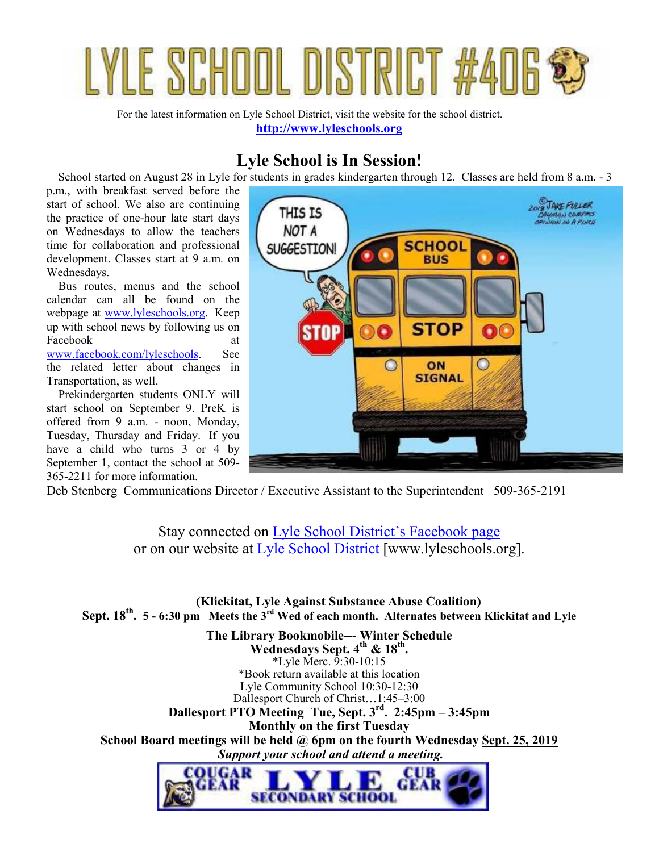

For the latest information on Lyle School District, visit the website for the school district. **http://www.lyleschools.org**

## **Lyle School is In Session!**

School started on August 28 in Lyle for students in grades kindergarten through 12. Classes are held from 8 a.m. - 3

p.m., with breakfast served before the start of school. We also are continuing the practice of one-hour late start days on Wednesdays to allow the teachers time for collaboration and professional development. Classes start at 9 a.m. on Wednesdays.

 Bus routes, menus and the school calendar can all be found on the webpage at www.lyleschools.org. Keep up with school news by following us on Facebook at www.facebook.com/lyleschools. See the related letter about changes in Transportation, as well.

 Prekindergarten students ONLY will start school on September 9. PreK is offered from 9 a.m. - noon, Monday, Tuesday, Thursday and Friday. If you have a child who turns 3 or 4 by September 1, contact the school at 509- 365-2211 for more information.



Deb Stenberg Communications Director / Executive Assistant to the Superintendent 509-365-2191

Stay connected on Lyle School District's Facebook page or on our website at Lyle School District [www.lyleschools.org].

 **(Klickitat, Lyle Against Substance Abuse Coalition) Sept. 18th . 5 - 6:30 pm Meets the 3rd Wed of each month. Alternates between Klickitat and Lyle**

**The Library Bookmobile--- Winter Schedule Wednesdays Sept. 4th & 18th .**  \*Lyle Merc. 9:30-10:15 \*Book return available at this location Lyle Community School 10:30-12:30 Dallesport Church of Christ…1:45–3:00 **Dallesport PTO Meeting Tue, Sept. 3rd. 2:45pm – 3:45pm Monthly on the first Tuesday School Board meetings will be held @ 6pm on the fourth Wednesday Sept. 25, 2019**  *Support your school and attend a meeting.* 

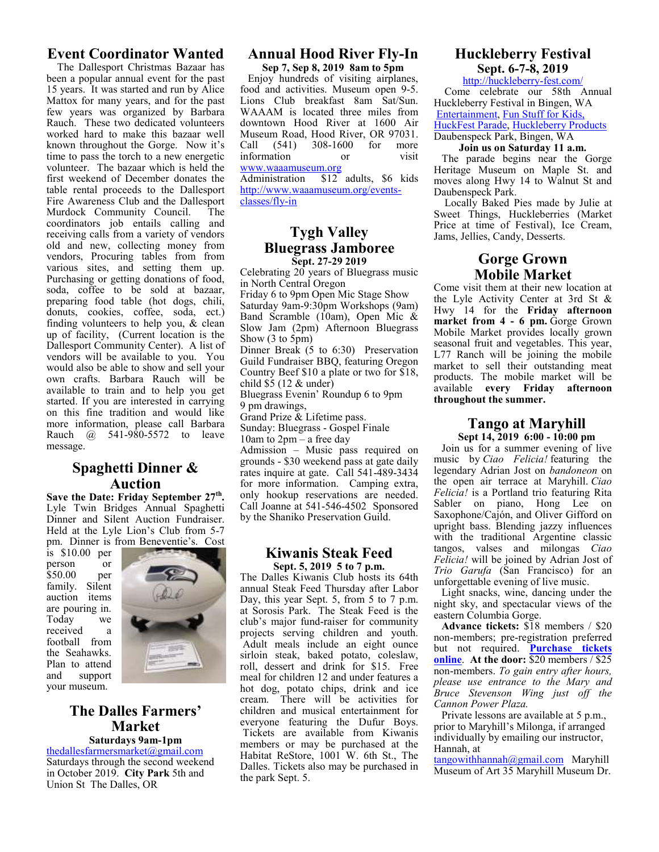## **Event Coordinator Wanted**

 The Dallesport Christmas Bazaar has been a popular annual event for the past 15 years. It was started and run by Alice Mattox for many years, and for the past few years was organized by Barbara Rauch. These two dedicated volunteers worked hard to make this bazaar well known throughout the Gorge. Now it's time to pass the torch to a new energetic volunteer. The bazaar which is held the first weekend of December donates the table rental proceeds to the Dallesport Fire Awareness Club and the Dallesport Murdock Community Council. The coordinators job entails calling and receiving calls from a variety of vendors old and new, collecting money from vendors, Procuring tables from from various sites, and setting them up. Purchasing or getting donations of food, soda, coffee to be sold at bazaar, preparing food table (hot dogs, chili, donuts, cookies, coffee, soda, ect.) finding volunteers to help you, & clean up of facility, (Current location is the Dallesport Community Center). A list of vendors will be available to you. You would also be able to show and sell your own crafts. Barbara Rauch will be available to train and to help you get started. If you are interested in carrying on this fine tradition and would like more information, please call Barbara Rauch @ 541-980-5572 to leave message.

## **Spaghetti Dinner & Auction**

**Save the Date: Friday September 27th .** Lyle Twin Bridges Annual Spaghetti Dinner and Silent Auction Fundraiser. Held at the Lyle Lion's Club from 5-7 pm. Dinner is from Beneventie's. Cost

is \$10.00 per person or \$50.00 per family. Silent auction items are pouring in. Today received a football from the Seahawks. Plan to attend and support your museum.



## **The Dalles Farmers' Market Saturdays 9am-1pm**

thedallesfarmersmarket@gmail.com Saturdays through the second weekend in October 2019. **City Park** 5th and Union St The Dalles, OR

## **Annual Hood River Fly-In**

**Sep 7, Sep 8, 2019 8am to 5pm**  Enjoy hundreds of visiting airplanes, food and activities. Museum open 9-5. Lions Club breakfast 8am Sat/Sun. WAAAM is located three miles from downtown Hood River at 1600 Air Museum Road, Hood River, OR 97031.<br>Call (541) 308-1600 for more Call (541) 308-1600 for more information or visit

#### www.waaamuseum.org

Administration \$12 adults, \$6 kids http://www.waaamuseum.org/eventsclasses/fly-in

#### **Tygh Valley Bluegrass Jamboree Sept. 27-29 2019**

Celebrating 20 years of Bluegrass music in North Central Oregon

Friday 6 to 9pm Open Mic Stage Show Saturday 9am-9:30pm Workshops (9am) Band Scramble (10am), Open Mic & Slow Jam (2pm) Afternoon Bluegrass Show (3 to 5pm)

Dinner Break (5 to 6:30) Preservation Guild Fundraiser BBQ, featuring Oregon Country Beef \$10 a plate or two for \$18, child  $$5(12 \&$  under)

Bluegrass Evenin' Roundup 6 to 9pm 9 pm drawings,

Grand Prize & Lifetime pass.

Sunday: Bluegrass - Gospel Finale

10am to 2pm – a free day

Admission – Music pass required on grounds - \$30 weekend pass at gate daily rates inquire at gate. Call 541-489-3434 for more information. Camping extra, only hookup reservations are needed. Call Joanne at 541-546-4502 Sponsored by the Shaniko Preservation Guild.

#### **Kiwanis Steak Feed Sept. 5, 2019 5 to 7 p.m.**

The Dalles Kiwanis Club hosts its 64th annual Steak Feed Thursday after Labor Day, this year Sept. 5, from 5 to 7 p.m. at Sorosis Park. The Steak Feed is the club's major fund-raiser for community projects serving children and youth. Adult meals include an eight ounce sirloin steak, baked potato, coleslaw, roll, dessert and drink for \$15. Free meal for children 12 and under features a hot dog, potato chips, drink and ice cream. There will be activities for children and musical entertainment for everyone featuring the Dufur Boys. Tickets are available from Kiwanis members or may be purchased at the Habitat ReStore, 1001 W. 6th St., The Dalles. Tickets also may be purchased in the park Sept. 5.

#### **Huckleberry Festival Sept. 6-7-8, 2019**

http://huckleberry-fest.com/ Come celebrate our 58th Annual Huckleberry Festival in Bingen, WA Entertainment, Fun Stuff for Kids, HuckFest Parade, Huckleberry Products

#### Daubenspeck Park, Bingen, WA **Join us on Saturday 11 a.m.**

 The parade begins near the Gorge Heritage Museum on Maple St. and moves along Hwy 14 to Walnut St and Daubenspeck Park.

 Locally Baked Pies made by Julie at Sweet Things, Huckleberries (Market Price at time of Festival), Ice Cream, Jams, Jellies, Candy, Desserts.

## **Gorge Grown Mobile Market**

Come visit them at their new location at the Lyle Activity Center at 3rd St & Hwy 14 for the **Friday afternoon market from 4 - 6 pm.** Gorge Grown Mobile Market provides locally grown seasonal fruit and vegetables. This year, L77 Ranch will be joining the mobile market to sell their outstanding meat products. The mobile market will be available **every Friday afternoon throughout the summer.** 

#### **Tango at Maryhill Sept 14, 2019 6:00 - 10:00 pm**

Join us for a summer evening of live music by *Ciao Felicia!* featuring the legendary Adrian Jost on *bandoneon* on the open air terrace at Maryhill. *Ciao Felicia!* is a Portland trio featuring Rita Sabler on piano, Hong Lee on Saxophone/Cajón, and Oliver Gifford on upright bass. Blending jazzy influences with the traditional Argentine classic tangos, valses and milongas *Ciao Felicia!* will be joined by Adrian Jost of *Trio Garufa* (San Francisco) for an unforgettable evening of live music.

Light snacks, wine, dancing under the night sky, and spectacular views of the eastern Columbia Gorge.

**Advance tickets:** \$18 members / \$20 non-members; pre-registration preferred but not required. **Purchase tickets online**. **At the door:** \$20 members / \$25 non-members. *To gain entry after hours, please use entrance to the Mary and Bruce Stevenson Wing just off the Cannon Power Plaza.*

Private lessons are available at 5 p.m., prior to Maryhill's Milonga, if arranged individually by emailing our instructor, Hannah, at

tangowithhannah@gmail.com Maryhill Museum of Art 35 Maryhill Museum Dr.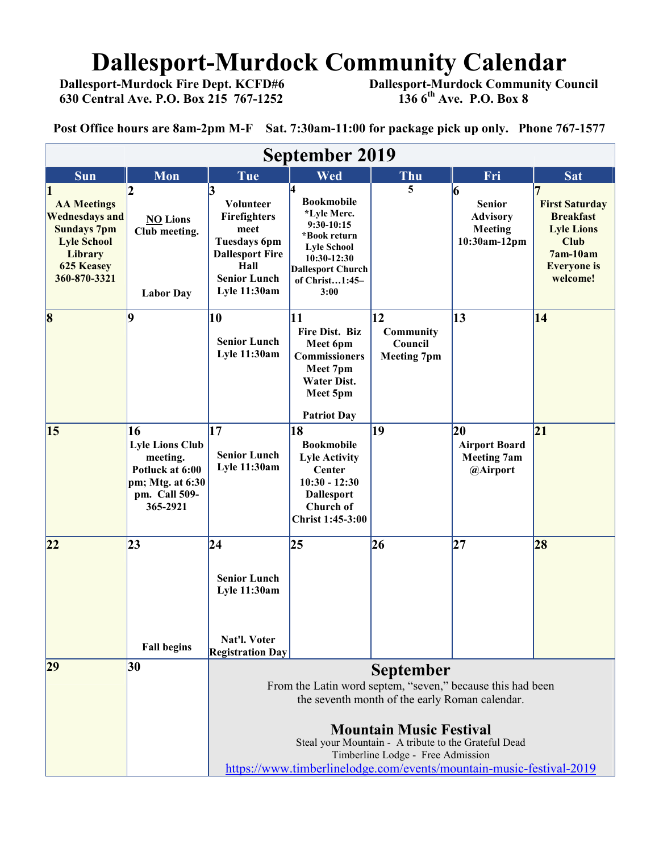# **Dallesport-Murdock Community Calendar**<br>Dallesport-Murdock Fire Dept. KCFD#6 Dallesport-Murdock Community Co

 **630 Central Ave. P.O. Box 215 767-1252 136 6th Ave. P.O. Box 8** 

 **Dallesport-Murdock Community Council 136 6<sup>th</sup> Ave. P.O. Box 8** 

**Post Office hours are 8am-2pm M-F Sat. 7:30am-11:00 for package pick up only. Phone 767-1577**

| Mon                                                                                                                   | Tue                                                                                                                                                                                                                                                             | Wed                                                                                                                                |                                            |                                                                  |                                                                                                                               |
|-----------------------------------------------------------------------------------------------------------------------|-----------------------------------------------------------------------------------------------------------------------------------------------------------------------------------------------------------------------------------------------------------------|------------------------------------------------------------------------------------------------------------------------------------|--------------------------------------------|------------------------------------------------------------------|-------------------------------------------------------------------------------------------------------------------------------|
|                                                                                                                       |                                                                                                                                                                                                                                                                 |                                                                                                                                    | Thu                                        | Fri                                                              | <b>Sat</b>                                                                                                                    |
| <b>NO Lions</b><br>Club meeting.<br><b>Labor Day</b>                                                                  | Volunteer<br>Firefighters<br>meet<br><b>Tuesdays 6pm</b><br><b>Dallesport Fire</b><br>Hall<br><b>Senior Lunch</b><br>Lyle 11:30am                                                                                                                               | <b>Bookmobile</b><br>*Lyle Merc.<br>$9:30-10:15$<br>*Book return<br><b>Lyle School</b><br>10:30-12:30<br>of Christ1:45-<br>3:00    | 5                                          | 6<br><b>Senior</b><br><b>Advisory</b><br>Meeting<br>10:30am-12pm | <b>First Saturday</b><br><b>Breakfast</b><br><b>Lyle Lions</b><br><b>Club</b><br>$7am-10am$<br><b>Everyone</b> is<br>welcome! |
| 9                                                                                                                     | <b>Senior Lunch</b><br>Lyle 11:30am                                                                                                                                                                                                                             | 11<br>Fire Dist. Biz<br>Meet 6pm<br><b>Commissioners</b><br>Meet 7pm<br><b>Water Dist.</b><br>Meet 5pm<br><b>Patriot Day</b>       | Community<br>Council<br><b>Meeting 7pm</b> | 13                                                               | 14                                                                                                                            |
| <b>16</b><br><b>Lyle Lions Club</b><br>meeting.<br>Potluck at 6:00<br>pm; Mtg. at $6:30$<br>pm. Call 509-<br>365-2921 | <b>Senior Lunch</b><br>Lyle 11:30am                                                                                                                                                                                                                             | 18<br><b>Bookmobile</b><br><b>Lyle Activity</b><br>Center<br>$10:30 - 12:30$<br><b>Dallesport</b><br>Church of<br>Christ 1:45-3:00 |                                            | 20<br><b>Airport Board</b><br><b>Meeting 7am</b><br>@Airport     | 21                                                                                                                            |
| 23<br><b>Fall begins</b>                                                                                              | <b>Senior Lunch</b><br><b>Lyle 11:30am</b><br>Nat'l. Voter                                                                                                                                                                                                      | 25                                                                                                                                 |                                            | 27                                                               | 28                                                                                                                            |
| 30                                                                                                                    | <b>September</b><br>From the Latin word septem, "seven," because this had been<br>the seventh month of the early Roman calendar.<br><b>Mountain Music Festival</b><br>Steal your Mountain - A tribute to the Grateful Dead<br>Timberline Lodge - Free Admission |                                                                                                                                    |                                            |                                                                  |                                                                                                                               |
|                                                                                                                       |                                                                                                                                                                                                                                                                 | 10<br>17<br>24<br><b>Registration Day</b>                                                                                          | <b>Dallesport Church</b>                   | $\overline{12}$<br>19<br>26                                      | https://www.timberlinelodge.com/events/mountain-music-festival-2019                                                           |